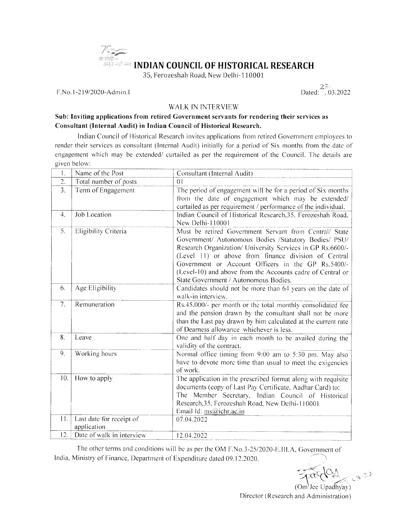# <sup>1</sup> The September of the September of the September of the September of the September of the September of the September of the September of the September of the September of the September of the September of the September आजादीज<br>अमृत महोत्सव INDIAN COUNCIL OF HISTORICAL RESEARCH

35, Ferozeshah Road, New Delhi-110001

F.No.1-219/2020-Admin.I

 $23.2022$ 

#### **WALK IN INTERVIEW**

#### Sub: Inviting applications from retired Government servants for rendering their services as Consultant (Internal Audit) in Indian Council of Historical Research.

Indian Council of Historical Research invites applications from retired Government employees to render their services as consultant (Internal Audit) initially for a period of Six months from the date of engagement which may be extended/ curtailed as per the requirement of the Council. The details are given below:

| 1.  | Name of the Post                        | Consultant (Internal Audit)                                                                                                                                                                                                                                                                                                                                                                        |
|-----|-----------------------------------------|----------------------------------------------------------------------------------------------------------------------------------------------------------------------------------------------------------------------------------------------------------------------------------------------------------------------------------------------------------------------------------------------------|
| 2.  | Total number of posts                   | $\Omega$                                                                                                                                                                                                                                                                                                                                                                                           |
| 3.  | Term of Engagement                      | The period of engagement will be for a period of Six months<br>from the date of engagement which may be extended/<br>curtailed as per requirement / performance of the individual.                                                                                                                                                                                                                 |
| 4.  | Job Location                            | Indian Council of Historical Research, 35, Ferozeshah Road,<br>New Delhi-110001                                                                                                                                                                                                                                                                                                                    |
| 5.  | Eligibility Criteria                    | Must be retired Government Servant from Central/ State<br>Government/ Autonomous Bodies /Statutory Bodies/ PSU/<br>Research Organization/ University Services in GP Rs.6600/-<br>(Level 11) or above from finance division of Central<br>Government or Account Officers in the GP Rs.5400/-<br>(Level-10) and above from the Accounts cadre of Central or<br>State Government / Autonomous Bodies. |
| 6.  | Age Eligibility                         | Candidates should not be more than 64 years on the date of<br>walk-in interview.                                                                                                                                                                                                                                                                                                                   |
| 7.  | Remuneration                            | Rs.45,000/- per month or the total monthly consolidated fee<br>and the pension drawn by the consultant shall not be more<br>than the Last pay drawn by him calculated at the current rate<br>of Dearness allowance whichever is less.                                                                                                                                                              |
| 8.  | Leave                                   | One and half day in each month to be availed during the<br>validity of the contract.                                                                                                                                                                                                                                                                                                               |
| 9.  | Working hours                           | Normal office timing from 9:00 am to 5:30 pm. May also<br>have to devote more time than usual to meet the exigencies<br>of work.                                                                                                                                                                                                                                                                   |
| 10. | How to apply                            | The application in the prescribed format along with requisite<br>documents (copy of Last Pay Certificate, Aadhar Card) to:<br>The Member Secretary, Indian Council of Historical<br>Research, 35, Ferozeshah Road, New Delhi-110001<br>Email Id: ms@ichr.ac.in                                                                                                                                     |
| 11. | Last date for receipt of<br>application | 07.04.2022                                                                                                                                                                                                                                                                                                                                                                                         |
| 12. | Date of walk in interview               | 12.04.2022                                                                                                                                                                                                                                                                                                                                                                                         |

The other terms and conditions will be as per the OM F.No.3-25/2020-E.III.A. Government of India, Ministry of Finance, Department of Expenditure dated 09.12.2020.

(Om'Jee Upadhyay) Director (Research and Administration)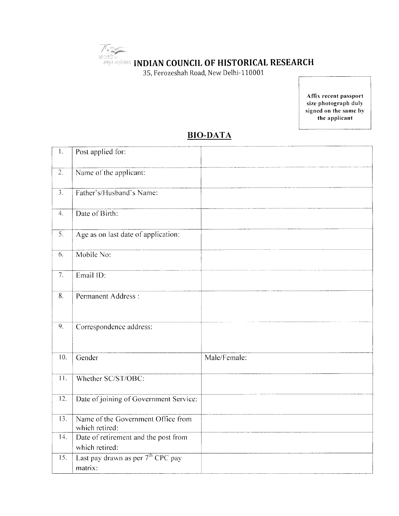35, Ferozeshah Road, New Delhi-110001

V Salajinin

Affix recent passport size photograph duly signed on the same by the applicant

## **BIO-DATA**

| $\mathbf{1}$ .        | Post applied for:                                        |              |
|-----------------------|----------------------------------------------------------|--------------|
| $\overline{2}$ .      | Name of the applicant:                                   |              |
| $\overline{3}$ .      | Father's/Husband's Name:                                 |              |
| $\mathcal{A}_{\cdot}$ | Date of Birth:                                           |              |
| $\overline{5}$ .      | Age as on last date of application:                      |              |
| 6.                    | Mobile No:                                               |              |
| 7.                    | Email ID:                                                |              |
| 8.                    | Permanent Address:                                       |              |
| 9.                    | Correspondence address:                                  |              |
| 10.                   | Gender                                                   | Male/Female: |
| $\overline{11}$ .     | Whether SC/ST/OBC:                                       |              |
| $\overline{12}$ .     | Date of joining of Government Service:                   |              |
| 13.                   | Name of the Government Office from<br>which retired:     |              |
| 14.                   | Date of retirement and the post from<br>which retired:   |              |
| 15.                   | Last pay drawn as per 7 <sup>th</sup> CPC pay<br>matrix: |              |